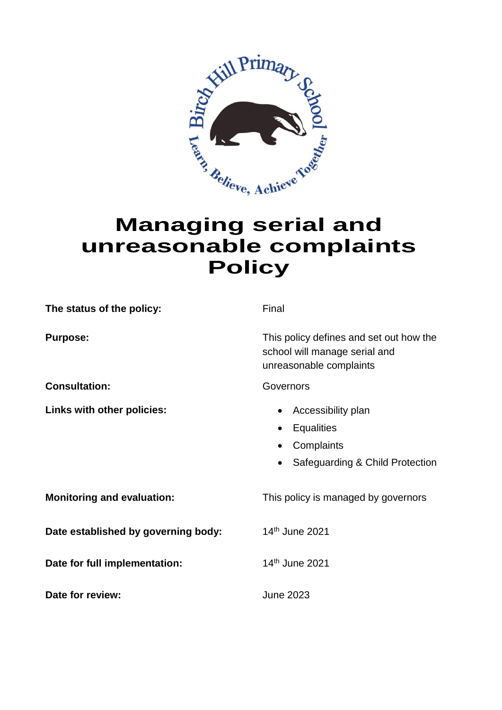

## **Managing serial and unreasonable complaints Policy**

| The status of the policy:           | Final                                                                                                                                |
|-------------------------------------|--------------------------------------------------------------------------------------------------------------------------------------|
| <b>Purpose:</b>                     | This policy defines and set out how the<br>school will manage serial and<br>unreasonable complaints                                  |
| <b>Consultation:</b>                | Governors                                                                                                                            |
| Links with other policies:          | Accessibility plan<br>$\bullet$<br><b>Equalities</b><br>٠<br>Complaints<br>$\bullet$<br>Safeguarding & Child Protection<br>$\bullet$ |
| <b>Monitoring and evaluation:</b>   | This policy is managed by governors                                                                                                  |
| Date established by governing body: | 14th June 2021                                                                                                                       |
| Date for full implementation:       | 14th June 2021                                                                                                                       |
| Date for review:                    | June 2023                                                                                                                            |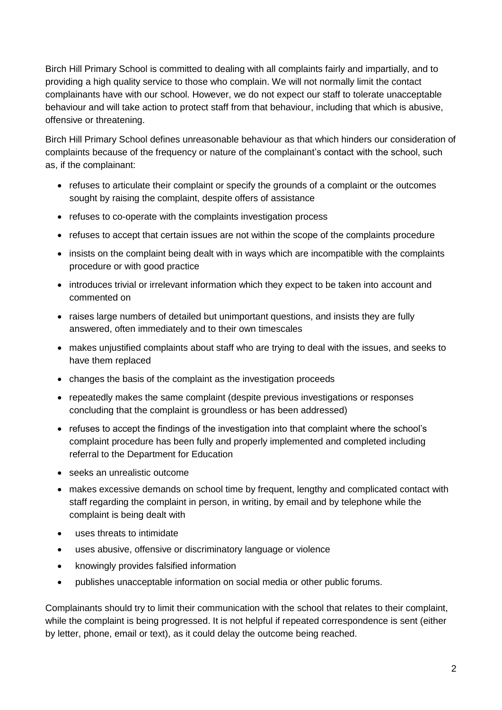Birch Hill Primary School is committed to dealing with all complaints fairly and impartially, and to providing a high quality service to those who complain. We will not normally limit the contact complainants have with our school. However, we do not expect our staff to tolerate unacceptable behaviour and will take action to protect staff from that behaviour, including that which is abusive, offensive or threatening.

Birch Hill Primary School defines unreasonable behaviour as that which hinders our consideration of complaints because of the frequency or nature of the complainant's contact with the school, such as, if the complainant:

- refuses to articulate their complaint or specify the grounds of a complaint or the outcomes sought by raising the complaint, despite offers of assistance
- refuses to co-operate with the complaints investigation process
- refuses to accept that certain issues are not within the scope of the complaints procedure
- insists on the complaint being dealt with in ways which are incompatible with the complaints procedure or with good practice
- introduces trivial or irrelevant information which they expect to be taken into account and commented on
- raises large numbers of detailed but unimportant questions, and insists they are fully answered, often immediately and to their own timescales
- makes unjustified complaints about staff who are trying to deal with the issues, and seeks to have them replaced
- changes the basis of the complaint as the investigation proceeds
- repeatedly makes the same complaint (despite previous investigations or responses concluding that the complaint is groundless or has been addressed)
- refuses to accept the findings of the investigation into that complaint where the school's complaint procedure has been fully and properly implemented and completed including referral to the Department for Education
- seeks an unrealistic outcome
- makes excessive demands on school time by frequent, lengthy and complicated contact with staff regarding the complaint in person, in writing, by email and by telephone while the complaint is being dealt with
- uses threats to intimidate
- uses abusive, offensive or discriminatory language or violence
- knowingly provides falsified information
- publishes unacceptable information on social media or other public forums.

Complainants should try to limit their communication with the school that relates to their complaint, while the complaint is being progressed. It is not helpful if repeated correspondence is sent (either by letter, phone, email or text), as it could delay the outcome being reached.